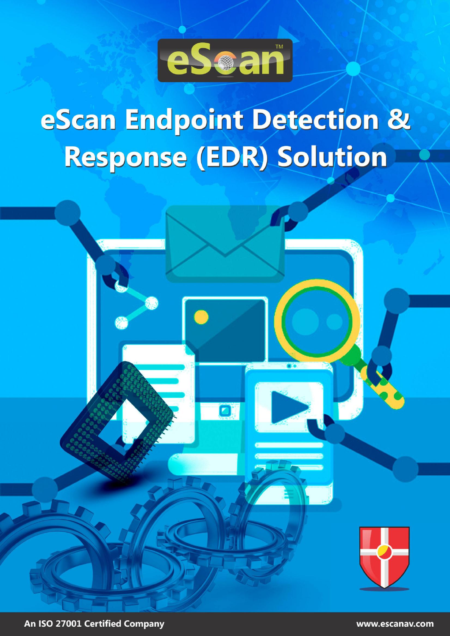

# eScan Endpoint Detection & Response (EDR) Solution



An ISO 27001 Certified Company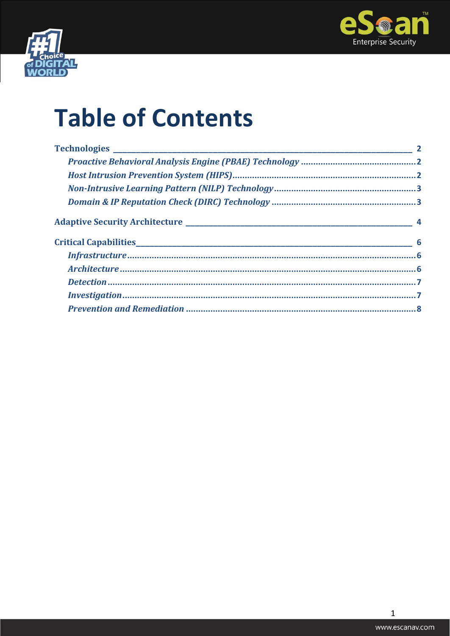



## **Table of Contents**

 $\mathbf 1$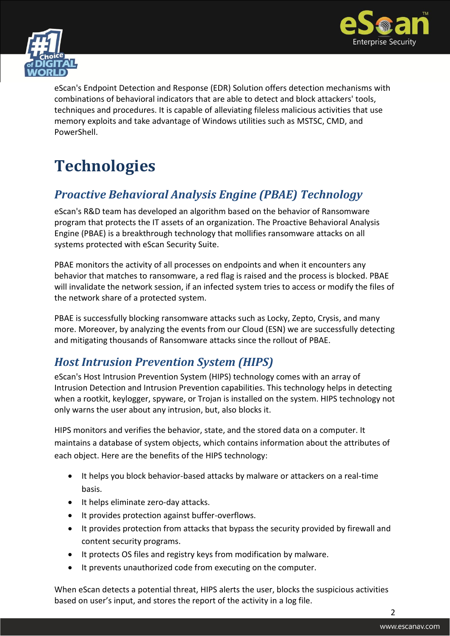



eScan's Endpoint Detection and Response (EDR) Solution offers detection mechanisms with combinations of behavioral indicators that are able to detect and block attackers' tools, techniques and procedures. It is capable of alleviating fileless malicious activities that use memory exploits and take advantage of Windows utilities such as MSTSC, CMD, and **PowerShell** 

### <span id="page-2-0"></span>**Technologies**

### <span id="page-2-1"></span>*Proactive Behavioral Analysis Engine (PBAE) Technology*

eScan's R&D team has developed an algorithm based on the behavior of Ransomware program that protects the IT assets of an organization. The Proactive Behavioral Analysis Engine (PBAE) is a breakthrough technology that mollifies ransomware attacks on all systems protected with eScan Security Suite.

PBAE monitors the activity of all processes on endpoints and when it encounters any behavior that matches to ransomware, a red flag is raised and the process is blocked. PBAE will invalidate the network session, if an infected system tries to access or modify the files of the network share of a protected system.

PBAE is successfully blocking ransomware attacks such as Locky, Zepto, Crysis, and many more. Moreover, by analyzing the events from our Cloud (ESN) we are successfully detecting and mitigating thousands of Ransomware attacks since the rollout of PBAE.

### <span id="page-2-2"></span>*Host Intrusion Prevention System (HIPS)*

eScan's Host Intrusion Prevention System (HIPS) technology comes with an array of Intrusion Detection and Intrusion Prevention capabilities. This technology helps in detecting when a rootkit, keylogger, spyware, or Trojan is installed on the system. HIPS technology not only warns the user about any intrusion, but, also blocks it.

HIPS monitors and verifies the behavior, state, and the stored data on a computer. It maintains a database of system objects, which contains information about the attributes of each object. Here are the benefits of the HIPS technology:

- It helps you block behavior-based attacks by malware or attackers on a real-time basis.
- It helps eliminate zero-day attacks.
- It provides protection against buffer-overflows.
- It provides protection from attacks that bypass the security provided by firewall and content security programs.
- It protects OS files and registry keys from modification by malware.
- It prevents unauthorized code from executing on the computer.

When eScan detects a potential threat, HIPS alerts the user, blocks the suspicious activities based on user's input, and stores the report of the activity in a log file.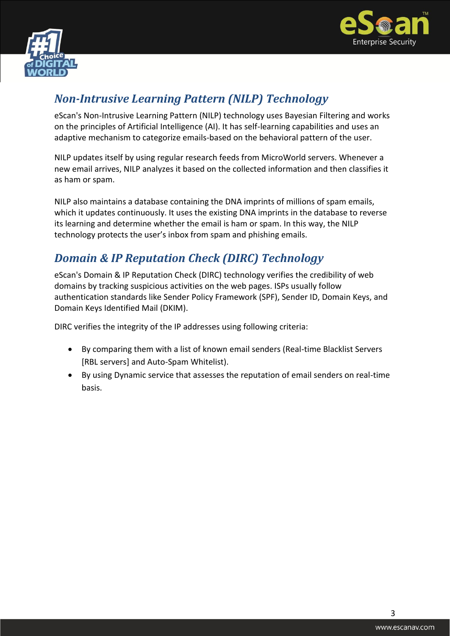



### <span id="page-3-0"></span>*Non-Intrusive Learning Pattern (NILP) Technology*

eScan's Non-Intrusive Learning Pattern (NILP) technology uses Bayesian Filtering and works on the principles of Artificial Intelligence (AI). It has self-learning capabilities and uses an adaptive mechanism to categorize emails-based on the behavioral pattern of the user.

NILP updates itself by using regular research feeds from MicroWorld servers. Whenever a new email arrives, NILP analyzes it based on the collected information and then classifies it as ham or spam.

NILP also maintains a database containing the DNA imprints of millions of spam emails, which it updates continuously. It uses the existing DNA imprints in the database to reverse its learning and determine whether the email is ham or spam. In this way, the NILP technology protects the user's inbox from spam and phishing emails.

### <span id="page-3-1"></span>*Domain & IP Reputation Check (DIRC) Technology*

eScan's Domain & IP Reputation Check (DIRC) technology verifies the credibility of web domains by tracking suspicious activities on the web pages. ISPs usually follow authentication standards like Sender Policy Framework (SPF), Sender ID, Domain Keys, and Domain Keys Identified Mail (DKIM).

DIRC verifies the integrity of the IP addresses using following criteria:

- By comparing them with a list of known email senders (Real-time Blacklist Servers [RBL servers] and Auto-Spam Whitelist).
- By using Dynamic service that assesses the reputation of email senders on real-time basis.

3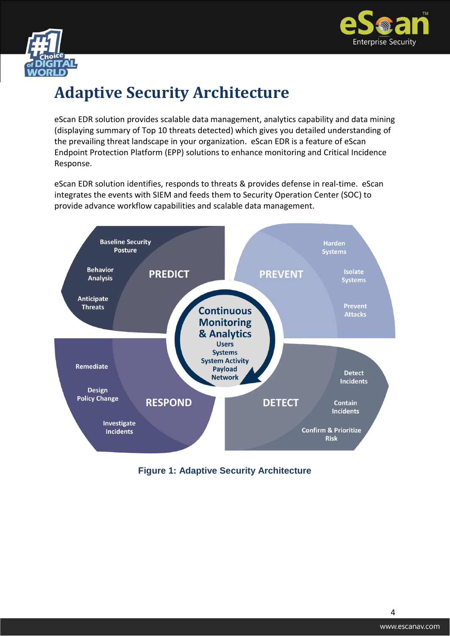



### <span id="page-4-0"></span>**Adaptive Security Architecture**

eScan EDR solution provides scalable data management, analytics capability and data mining (displaying summary of Top 10 threats detected) which gives you detailed understanding of the prevailing threat landscape in your organization. eScan EDR is a feature of eScan Endpoint Protection Platform (EPP) solutions to enhance monitoring and Critical Incidence Response.

eScan EDR solution identifies, responds to threats & provides defense in real-time. eScan integrates the events with SIEM and feeds them to Security Operation Center (SOC) to provide advance workflow capabilities and scalable data management.



#### **Figure 1: Adaptive Security Architecture**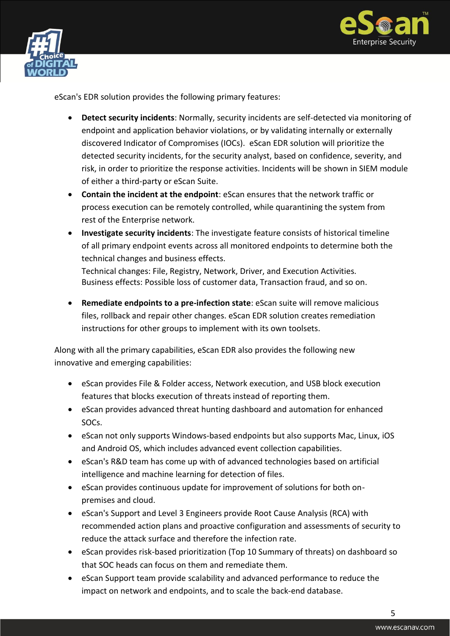



eScan's EDR solution provides the following primary features:

- **Detect security incidents**: Normally, security incidents are self-detected via monitoring of endpoint and application behavior violations, or by validating internally or externally discovered Indicator of Compromises (IOCs). eScan EDR solution will prioritize the detected security incidents, for the security analyst, based on confidence, severity, and risk, in order to prioritize the response activities. Incidents will be shown in SIEM module of either a third-party or eScan Suite.
- **Contain the incident at the endpoint**: eScan ensures that the network traffic or process execution can be remotely controlled, while quarantining the system from rest of the Enterprise network.
- **Investigate security incidents**: The investigate feature consists of historical timeline of all primary endpoint events across all monitored endpoints to determine both the technical changes and business effects.

Technical changes: File, Registry, Network, Driver, and Execution Activities. Business effects: Possible loss of customer data, Transaction fraud, and so on.

 **Remediate endpoints to a pre-infection state**: eScan suite will remove malicious files, rollback and repair other changes. eScan EDR solution creates remediation instructions for other groups to implement with its own toolsets.

Along with all the primary capabilities, eScan EDR also provides the following new innovative and emerging capabilities:

- eScan provides File & Folder access, Network execution, and USB block execution features that blocks execution of threats instead of reporting them.
- eScan provides advanced threat hunting dashboard and automation for enhanced SOCs.
- eScan not only supports Windows-based endpoints but also supports Mac, Linux, iOS and Android OS, which includes advanced event collection capabilities.
- eScan's R&D team has come up with of advanced technologies based on artificial intelligence and machine learning for detection of files.
- eScan provides continuous update for improvement of solutions for both onpremises and cloud.
- eScan's Support and Level 3 Engineers provide Root Cause Analysis (RCA) with recommended action plans and proactive configuration and assessments of security to reduce the attack surface and therefore the infection rate.
- eScan provides risk-based prioritization (Top 10 Summary of threats) on dashboard so that SOC heads can focus on them and remediate them.
- eScan Support team provide scalability and advanced performance to reduce the impact on network and endpoints, and to scale the back-end database.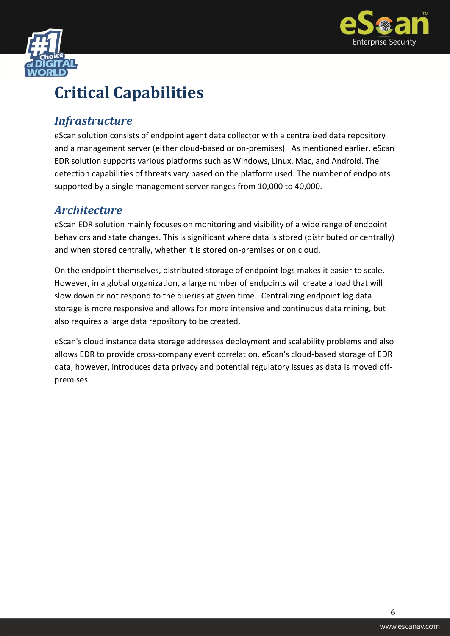



### <span id="page-6-0"></span>**Critical Capabilities**

### <span id="page-6-1"></span>*Infrastructure*

eScan solution consists of endpoint agent data collector with a centralized data repository and a management server (either cloud-based or on-premises). As mentioned earlier, eScan EDR solution supports various platforms such as Windows, Linux, Mac, and Android. The detection capabilities of threats vary based on the platform used. The number of endpoints supported by a single management server ranges from 10,000 to 40,000.

### <span id="page-6-2"></span>*Architecture*

eScan EDR solution mainly focuses on monitoring and visibility of a wide range of endpoint behaviors and state changes. This is significant where data is stored (distributed or centrally) and when stored centrally, whether it is stored on-premises or on cloud.

On the endpoint themselves, distributed storage of endpoint logs makes it easier to scale. However, in a global organization, a large number of endpoints will create a load that will slow down or not respond to the queries at given time. Centralizing endpoint log data storage is more responsive and allows for more intensive and continuous data mining, but also requires a large data repository to be created.

eScan's cloud instance data storage addresses deployment and scalability problems and also allows EDR to provide cross-company event correlation. eScan's cloud-based storage of EDR data, however, introduces data privacy and potential regulatory issues as data is moved offpremises.

6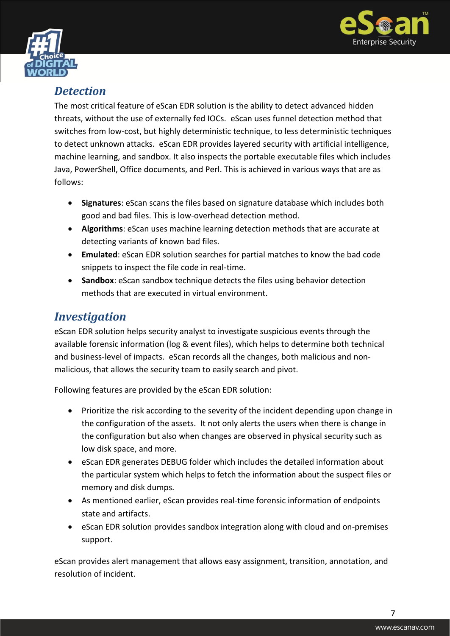



### <span id="page-7-0"></span>*Detection*

The most critical feature of eScan EDR solution is the ability to detect advanced hidden threats, without the use of externally fed IOCs. eScan uses funnel detection method that switches from low-cost, but highly deterministic technique, to less deterministic techniques to detect unknown attacks. eScan EDR provides layered security with artificial intelligence, machine learning, and sandbox. It also inspects the portable executable files which includes Java, PowerShell, Office documents, and Perl. This is achieved in various ways that are as follows:

- **Signatures**: eScan scans the files based on signature database which includes both good and bad files. This is low-overhead detection method.
- **Algorithms**: eScan uses machine learning detection methods that are accurate at detecting variants of known bad files.
- **Emulated**: eScan EDR solution searches for partial matches to know the bad code snippets to inspect the file code in real-time.
- **Sandbox:** eScan sandbox technique detects the files using behavior detection methods that are executed in virtual environment.

### <span id="page-7-1"></span>*Investigation*

eScan EDR solution helps security analyst to investigate suspicious events through the available forensic information (log & event files), which helps to determine both technical and business-level of impacts. eScan records all the changes, both malicious and nonmalicious, that allows the security team to easily search and pivot.

Following features are provided by the eScan EDR solution:

- Prioritize the risk according to the severity of the incident depending upon change in the configuration of the assets. It not only alerts the users when there is change in the configuration but also when changes are observed in physical security such as low disk space, and more.
- eScan EDR generates DEBUG folder which includes the detailed information about the particular system which helps to fetch the information about the suspect files or memory and disk dumps.
- As mentioned earlier, eScan provides real-time forensic information of endpoints state and artifacts.
- eScan EDR solution provides sandbox integration along with cloud and on-premises support.

eScan provides alert management that allows easy assignment, transition, annotation, and resolution of incident.